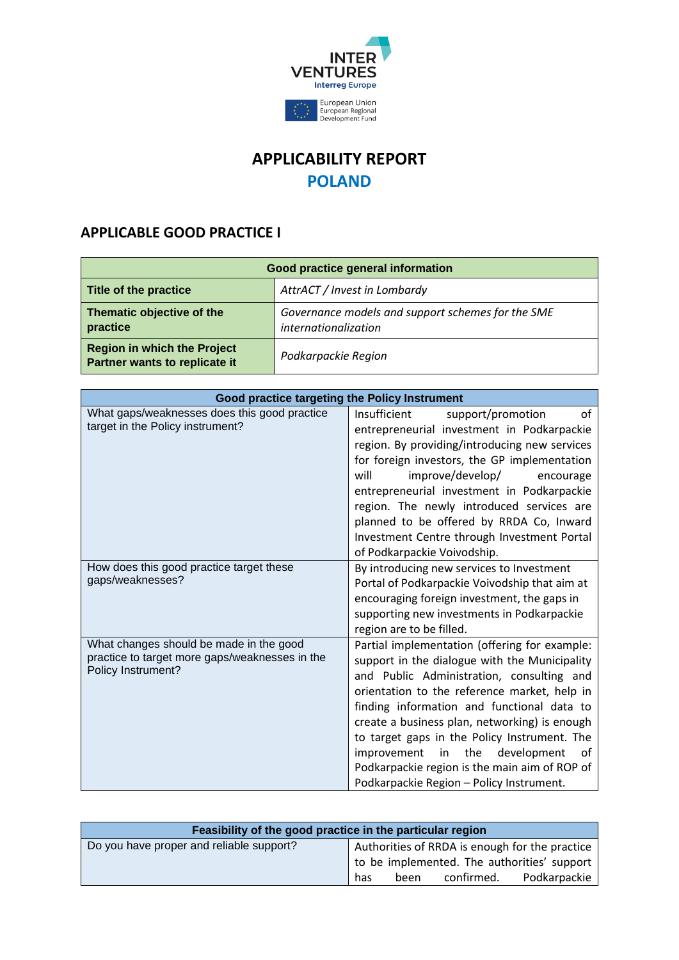

## **APPLICABILITY REPORT POLAND**

## **APPLICABLE GOOD PRACTICE I**

| Good practice general information                                   |                                                                           |  |
|---------------------------------------------------------------------|---------------------------------------------------------------------------|--|
| Title of the practice                                               | AttrACT / Invest in Lombardy                                              |  |
| Thematic objective of the<br>practice                               | Governance models and support schemes for the SME<br>internationalization |  |
| <b>Region in which the Project</b><br>Partner wants to replicate it | Podkarpackie Region                                                       |  |

| Good practice targeting the Policy Instrument                                                                   |                                                                                                                                                                                                                                                                                                                                                                                                                                                                                          |
|-----------------------------------------------------------------------------------------------------------------|------------------------------------------------------------------------------------------------------------------------------------------------------------------------------------------------------------------------------------------------------------------------------------------------------------------------------------------------------------------------------------------------------------------------------------------------------------------------------------------|
| What gaps/weaknesses does this good practice<br>target in the Policy instrument?                                | Insufficient<br>support/promotion<br>οf<br>entrepreneurial investment in Podkarpackie<br>region. By providing/introducing new services<br>for foreign investors, the GP implementation<br>will<br>improve/develop/<br>encourage<br>entrepreneurial investment in Podkarpackie<br>region. The newly introduced services are<br>planned to be offered by RRDA Co, Inward<br>Investment Centre through Investment Portal<br>of Podkarpackie Voivodship.                                     |
| How does this good practice target these<br>gaps/weaknesses?                                                    | By introducing new services to Investment<br>Portal of Podkarpackie Voivodship that aim at<br>encouraging foreign investment, the gaps in<br>supporting new investments in Podkarpackie<br>region are to be filled.                                                                                                                                                                                                                                                                      |
| What changes should be made in the good<br>practice to target more gaps/weaknesses in the<br>Policy Instrument? | Partial implementation (offering for example:<br>support in the dialogue with the Municipality<br>and Public Administration, consulting and<br>orientation to the reference market, help in<br>finding information and functional data to<br>create a business plan, networking) is enough<br>to target gaps in the Policy Instrument. The<br>improvement<br>the<br>development<br>in<br>οf<br>Podkarpackie region is the main aim of ROP of<br>Podkarpackie Region - Policy Instrument. |

| Feasibility of the good practice in the particular region |     |      |            |                                                |
|-----------------------------------------------------------|-----|------|------------|------------------------------------------------|
| Do you have proper and reliable support?                  |     |      |            | Authorities of RRDA is enough for the practice |
|                                                           |     |      |            | to be implemented. The authorities' support    |
|                                                           | has | been | confirmed. | Podkarpackie                                   |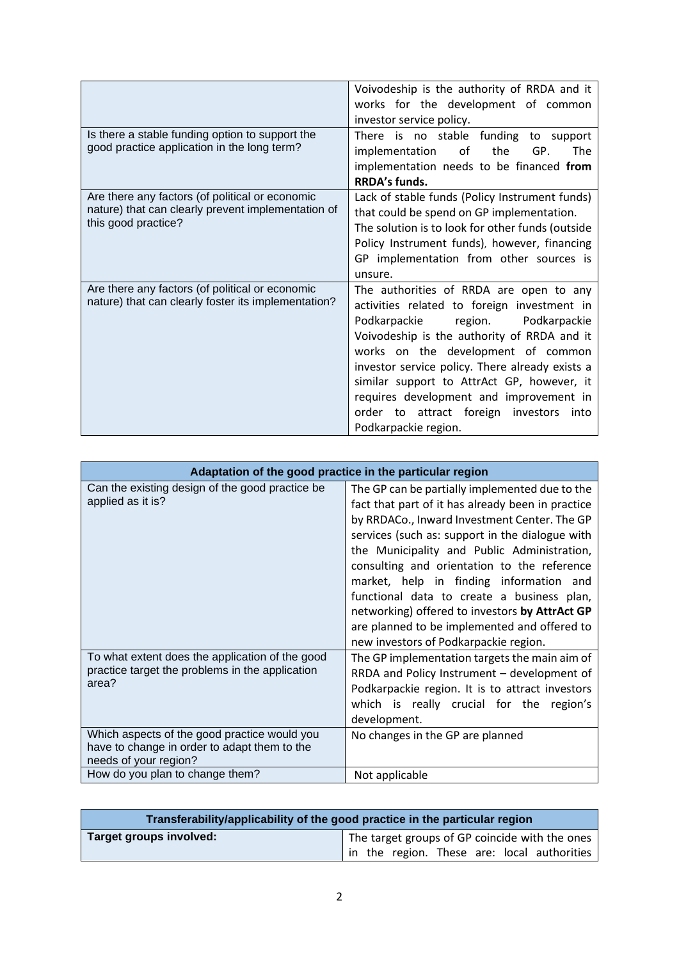|                                                                                                                              | Voivodeship is the authority of RRDA and it<br>works for the development of common                                                                                                                                                                                                                                                                                                                                                          |
|------------------------------------------------------------------------------------------------------------------------------|---------------------------------------------------------------------------------------------------------------------------------------------------------------------------------------------------------------------------------------------------------------------------------------------------------------------------------------------------------------------------------------------------------------------------------------------|
| Is there a stable funding option to support the<br>good practice application in the long term?                               | investor service policy.<br>There is no stable funding to support<br>of<br>GP.<br>implementation<br>the<br>The<br>implementation needs to be financed from<br>RRDA's funds.                                                                                                                                                                                                                                                                 |
| Are there any factors (of political or economic<br>nature) that can clearly prevent implementation of<br>this good practice? | Lack of stable funds (Policy Instrument funds)<br>that could be spend on GP implementation.<br>The solution is to look for other funds (outside<br>Policy Instrument funds), however, financing<br>GP implementation from other sources is<br>unsure.                                                                                                                                                                                       |
| Are there any factors (of political or economic<br>nature) that can clearly foster its implementation?                       | The authorities of RRDA are open to any<br>activities related to foreign investment in<br>Podkarpackie<br>Podkarpackie<br>region.<br>Voivodeship is the authority of RRDA and it<br>works on the development of common<br>investor service policy. There already exists a<br>similar support to AttrAct GP, however, it<br>requires development and improvement in<br>order to attract foreign<br>investors<br>into<br>Podkarpackie region. |

| Adaptation of the good practice in the particular region                                                                                                    |                                                                                                                                                                                                                                                                                                                                                                                                                                                                                                                                          |
|-------------------------------------------------------------------------------------------------------------------------------------------------------------|------------------------------------------------------------------------------------------------------------------------------------------------------------------------------------------------------------------------------------------------------------------------------------------------------------------------------------------------------------------------------------------------------------------------------------------------------------------------------------------------------------------------------------------|
| Can the existing design of the good practice be<br>applied as it is?                                                                                        | The GP can be partially implemented due to the<br>fact that part of it has already been in practice<br>by RRDACo., Inward Investment Center. The GP<br>services (such as: support in the dialogue with<br>the Municipality and Public Administration,<br>consulting and orientation to the reference<br>market, help in finding information and<br>functional data to create a business plan,<br>networking) offered to investors by AttrAct GP<br>are planned to be implemented and offered to<br>new investors of Podkarpackie region. |
| To what extent does the application of the good<br>practice target the problems in the application<br>area?<br>Which aspects of the good practice would you | The GP implementation targets the main aim of<br>RRDA and Policy Instrument - development of<br>Podkarpackie region. It is to attract investors<br>which is really crucial for the region's<br>development.                                                                                                                                                                                                                                                                                                                              |
| have to change in order to adapt them to the<br>needs of your region?                                                                                       | No changes in the GP are planned                                                                                                                                                                                                                                                                                                                                                                                                                                                                                                         |
| How do you plan to change them?                                                                                                                             | Not applicable                                                                                                                                                                                                                                                                                                                                                                                                                                                                                                                           |

| Transferability/applicability of the good practice in the particular region |                                                |  |  |
|-----------------------------------------------------------------------------|------------------------------------------------|--|--|
| Target groups involved:                                                     | The target groups of GP coincide with the ones |  |  |
|                                                                             | in the region. These are: local authorities    |  |  |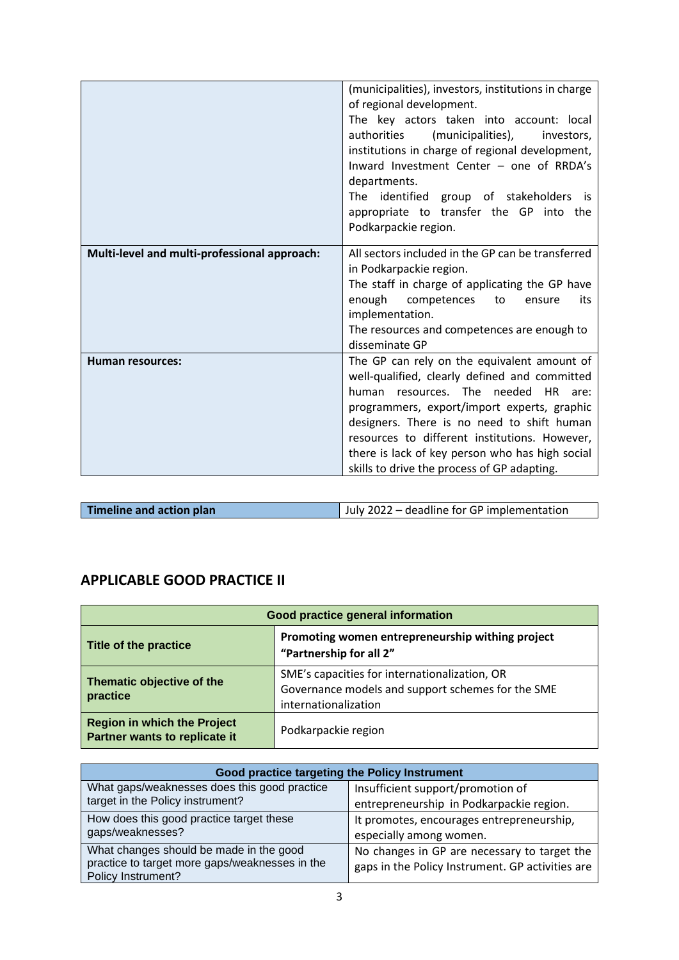|                                              | (municipalities), investors, institutions in charge<br>of regional development.<br>The key actors taken into account: local<br>authorities<br>(municipalities),<br>investors,<br>institutions in charge of regional development,<br>Inward Investment Center - one of RRDA's<br>departments.<br>The identified group of stakeholders is<br>appropriate to transfer the GP into the<br>Podkarpackie region. |
|----------------------------------------------|------------------------------------------------------------------------------------------------------------------------------------------------------------------------------------------------------------------------------------------------------------------------------------------------------------------------------------------------------------------------------------------------------------|
| Multi-level and multi-professional approach: | All sectors included in the GP can be transferred<br>in Podkarpackie region.<br>The staff in charge of applicating the GP have<br>enough<br>competences<br>to<br>its<br>ensure<br>implementation.<br>The resources and competences are enough to<br>disseminate GP                                                                                                                                         |
| <b>Human resources:</b>                      | The GP can rely on the equivalent amount of<br>well-qualified, clearly defined and committed<br>resources. The needed HR<br>human<br>are:<br>programmers, export/import experts, graphic<br>designers. There is no need to shift human<br>resources to different institutions. However,<br>there is lack of key person who has high social<br>skills to drive the process of GP adapting.                  |

| Timeline and action plan | July 2022 – deadline for GP implementation |
|--------------------------|--------------------------------------------|

## **APPLICABLE GOOD PRACTICE II**

| Good practice general information                                   |                                                                                                                            |  |
|---------------------------------------------------------------------|----------------------------------------------------------------------------------------------------------------------------|--|
| Title of the practice                                               | Promoting women entrepreneurship withing project<br>"Partnership for all 2"                                                |  |
| Thematic objective of the<br>practice                               | SME's capacities for internationalization, OR<br>Governance models and support schemes for the SME<br>internationalization |  |
| <b>Region in which the Project</b><br>Partner wants to replicate it | Podkarpackie region                                                                                                        |  |

| Good practice targeting the Policy Instrument                        |                                                  |  |
|----------------------------------------------------------------------|--------------------------------------------------|--|
| What gaps/weaknesses does this good practice                         | Insufficient support/promotion of                |  |
| target in the Policy instrument?                                     | entrepreneurship in Podkarpackie region.         |  |
| How does this good practice target these<br>gaps/weaknesses?         | It promotes, encourages entrepreneurship,        |  |
|                                                                      | especially among women.                          |  |
| What changes should be made in the good                              | No changes in GP are necessary to target the     |  |
| practice to target more gaps/weaknesses in the<br>Policy Instrument? | gaps in the Policy Instrument. GP activities are |  |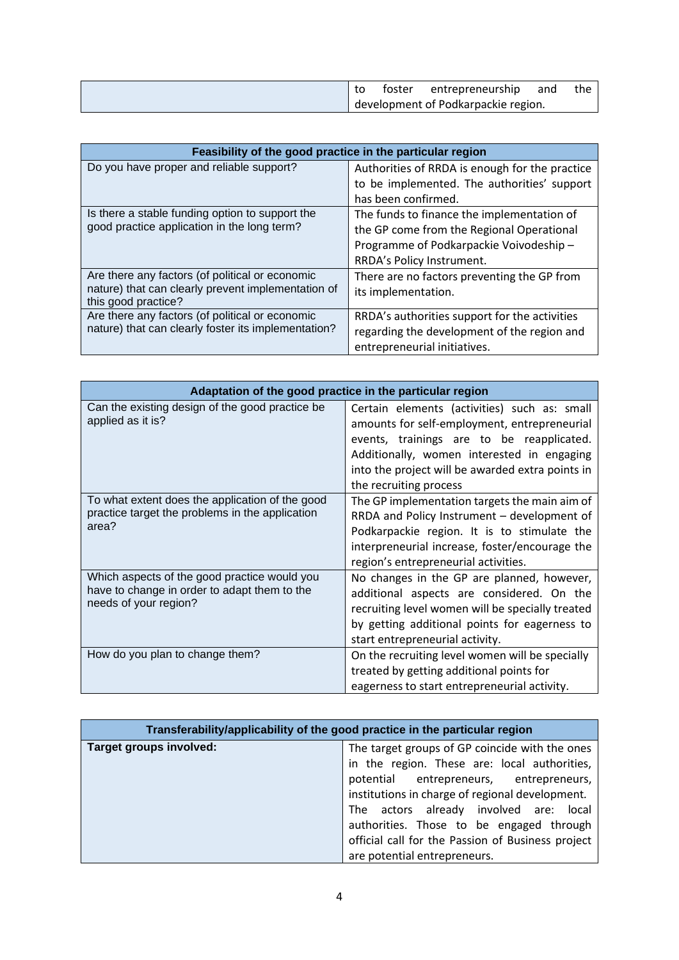|  | toster | entrepreneurship                    | and | the |
|--|--------|-------------------------------------|-----|-----|
|  |        | development of Podkarpackie region. |     |     |

| Feasibility of the good practice in the particular region                                              |                                                |  |
|--------------------------------------------------------------------------------------------------------|------------------------------------------------|--|
| Do you have proper and reliable support?                                                               | Authorities of RRDA is enough for the practice |  |
|                                                                                                        | to be implemented. The authorities' support    |  |
|                                                                                                        | has been confirmed.                            |  |
| Is there a stable funding option to support the<br>good practice application in the long term?         | The funds to finance the implementation of     |  |
|                                                                                                        | the GP come from the Regional Operational      |  |
|                                                                                                        | Programme of Podkarpackie Voivodeship-         |  |
|                                                                                                        | RRDA's Policy Instrument.                      |  |
| Are there any factors (of political or economic                                                        | There are no factors preventing the GP from    |  |
| nature) that can clearly prevent implementation of                                                     | its implementation.                            |  |
| this good practice?                                                                                    |                                                |  |
| Are there any factors (of political or economic<br>nature) that can clearly foster its implementation? | RRDA's authorities support for the activities  |  |
|                                                                                                        | regarding the development of the region and    |  |
|                                                                                                        | entrepreneurial initiatives.                   |  |

| Adaptation of the good practice in the particular region                                                              |                                                                                                                                                                                                                                                                       |
|-----------------------------------------------------------------------------------------------------------------------|-----------------------------------------------------------------------------------------------------------------------------------------------------------------------------------------------------------------------------------------------------------------------|
| Can the existing design of the good practice be<br>applied as it is?                                                  | Certain elements (activities) such as: small<br>amounts for self-employment, entrepreneurial<br>events, trainings are to be reapplicated.<br>Additionally, women interested in engaging<br>into the project will be awarded extra points in<br>the recruiting process |
| To what extent does the application of the good<br>practice target the problems in the application<br>area?           | The GP implementation targets the main aim of<br>RRDA and Policy Instrument - development of<br>Podkarpackie region. It is to stimulate the<br>interpreneurial increase, foster/encourage the<br>region's entrepreneurial activities.                                 |
| Which aspects of the good practice would you<br>have to change in order to adapt them to the<br>needs of your region? | No changes in the GP are planned, however,<br>additional aspects are considered. On the<br>recruiting level women will be specially treated<br>by getting additional points for eagerness to<br>start entrepreneurial activity.                                       |
| How do you plan to change them?                                                                                       | On the recruiting level women will be specially<br>treated by getting additional points for<br>eagerness to start entrepreneurial activity.                                                                                                                           |

| Transferability/applicability of the good practice in the particular region |                                                   |
|-----------------------------------------------------------------------------|---------------------------------------------------|
| Target groups involved:                                                     | The target groups of GP coincide with the ones    |
|                                                                             | in the region. These are: local authorities,      |
|                                                                             | potential entrepreneurs, entrepreneurs,           |
|                                                                             | institutions in charge of regional development.   |
|                                                                             | The actors already involved are:<br>local         |
|                                                                             | authorities. Those to be engaged through          |
|                                                                             | official call for the Passion of Business project |
|                                                                             | are potential entrepreneurs.                      |